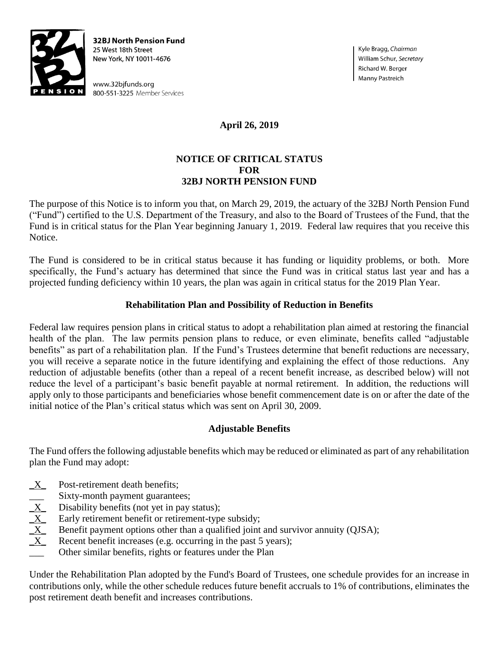

**32BJ North Pension Fund** 25 West 18th Street New York, NY 10011-4676

www.32bjfunds.org 800-551-3225 Member Services Kyle Bragg, Chairman William Schur, Secretary Richard W. Berger Manny Pastreich

# **April 26, 2019**

#### **NOTICE OF CRITICAL STATUS FOR 32BJ NORTH PENSION FUND**

The purpose of this Notice is to inform you that, on March 29, 2019, the actuary of the 32BJ North Pension Fund ("Fund") certified to the U.S. Department of the Treasury, and also to the Board of Trustees of the Fund, that the Fund is in critical status for the Plan Year beginning January 1, 2019. Federal law requires that you receive this Notice.

The Fund is considered to be in critical status because it has funding or liquidity problems, or both. More specifically, the Fund's actuary has determined that since the Fund was in critical status last year and has a projected funding deficiency within 10 years, the plan was again in critical status for the 2019 Plan Year.

## **Rehabilitation Plan and Possibility of Reduction in Benefits**

Federal law requires pension plans in critical status to adopt a rehabilitation plan aimed at restoring the financial health of the plan. The law permits pension plans to reduce, or even eliminate, benefits called "adjustable benefits" as part of a rehabilitation plan. If the Fund's Trustees determine that benefit reductions are necessary, you will receive a separate notice in the future identifying and explaining the effect of those reductions. Any reduction of adjustable benefits (other than a repeal of a recent benefit increase, as described below) will not reduce the level of a participant's basic benefit payable at normal retirement. In addition, the reductions will apply only to those participants and beneficiaries whose benefit commencement date is on or after the date of the initial notice of the Plan's critical status which was sent on April 30, 2009.

## **Adjustable Benefits**

The Fund offers the following adjustable benefits which may be reduced or eliminated as part of any rehabilitation plan the Fund may adopt:

- $X$  Post-retirement death benefits;
- 
- Disability benefits (not yet in pay status);
- Early retirement benefit or retirement-type subsidy;
- $\begin{array}{r}\n\overline{\text{X}}\\
\hline\n\text{X}\\
\hline\n\text{X}\\
\hline\n\text{B} \\
\hline\n\text{B} \\
\hline\n\text{B} \\
\hline\n\text{B} \\
\hline\n\text{B} \\
\hline\n\text{B} \\
\hline\n\text{B} \\
\hline\n\text{B} \\
\hline\n\text{B} \\
\hline\n\text{B} \\
\hline\n\text{B} \\
\hline\n\text{B} \\
\hline\n\text{B} \\
\hline\n\text{B} \\
\hline\n\text{B} \\
\hline\n\text{B} \\
\hline\n\text{C} \\
\hline\n\text{C} \\
\h$ Benefit payment options other than a qualified joint and survivor annuity (OJSA);
- Recent benefit increases (e.g. occurring in the past 5 years);
- Other similar benefits, rights or features under the Plan

Under the Rehabilitation Plan adopted by the Fund's Board of Trustees, one schedule provides for an increase in contributions only, while the other schedule reduces future benefit accruals to 1% of contributions, eliminates the post retirement death benefit and increases contributions.